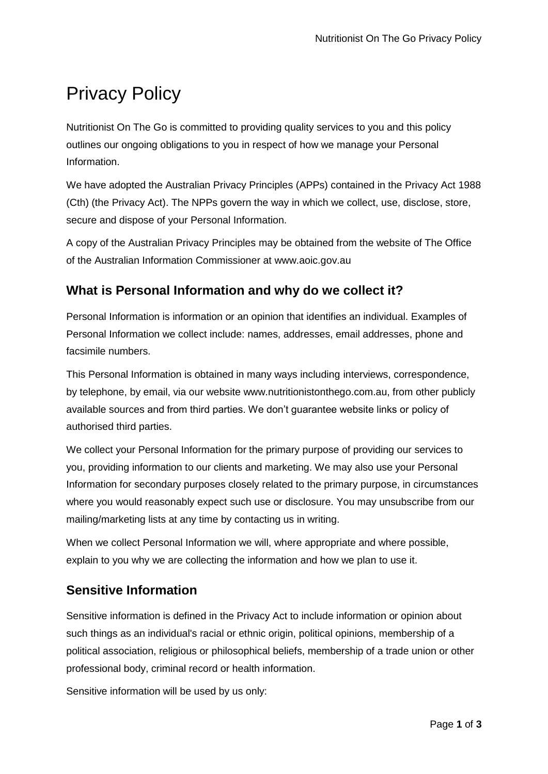# Privacy Policy

Nutritionist On The Go is committed to providing quality services to you and this policy outlines our ongoing obligations to you in respect of how we manage your Personal Information.

We have adopted the Australian Privacy Principles (APPs) contained in the Privacy Act 1988 (Cth) (the Privacy Act). The NPPs govern the way in which we collect, use, disclose, store, secure and dispose of your Personal Information.

A copy of the Australian Privacy Principles may be obtained from the website of The Office of the Australian Information Commissioner at www.aoic.gov.au

## **What is Personal Information and why do we collect it?**

Personal Information is information or an opinion that identifies an individual. Examples of Personal Information we collect include: names, addresses, email addresses, phone and facsimile numbers.

This Personal Information is obtained in many ways including interviews, correspondence, by telephone, by email, via our website www.nutritionistonthego.com.au, from other publicly available sources and from third parties. We don't guarantee website links or policy of authorised third parties.

We collect your Personal Information for the primary purpose of providing our services to you, providing information to our clients and marketing. We may also use your Personal Information for secondary purposes closely related to the primary purpose, in circumstances where you would reasonably expect such use or disclosure. You may unsubscribe from our mailing/marketing lists at any time by contacting us in writing.

When we collect Personal Information we will, where appropriate and where possible, explain to you why we are collecting the information and how we plan to use it.

## **Sensitive Information**

Sensitive information is defined in the Privacy Act to include information or opinion about such things as an individual's racial or ethnic origin, political opinions, membership of a political association, religious or philosophical beliefs, membership of a trade union or other professional body, criminal record or health information.

Sensitive information will be used by us only: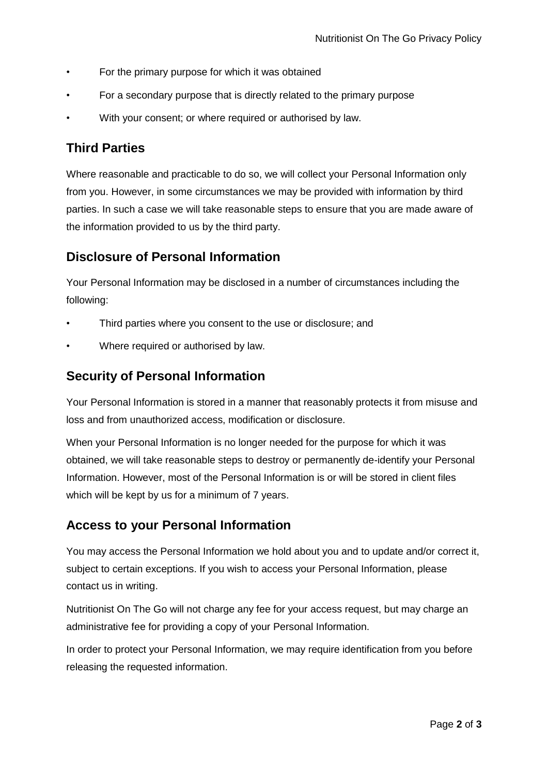- For the primary purpose for which it was obtained
- For a secondary purpose that is directly related to the primary purpose
- With your consent; or where required or authorised by law.

## **Third Parties**

Where reasonable and practicable to do so, we will collect your Personal Information only from you. However, in some circumstances we may be provided with information by third parties. In such a case we will take reasonable steps to ensure that you are made aware of the information provided to us by the third party.

#### **Disclosure of Personal Information**

Your Personal Information may be disclosed in a number of circumstances including the following:

- Third parties where you consent to the use or disclosure; and
- Where required or authorised by law.

#### **Security of Personal Information**

Your Personal Information is stored in a manner that reasonably protects it from misuse and loss and from unauthorized access, modification or disclosure.

When your Personal Information is no longer needed for the purpose for which it was obtained, we will take reasonable steps to destroy or permanently de-identify your Personal Information. However, most of the Personal Information is or will be stored in client files which will be kept by us for a minimum of 7 years.

## **Access to your Personal Information**

You may access the Personal Information we hold about you and to update and/or correct it, subject to certain exceptions. If you wish to access your Personal Information, please contact us in writing.

Nutritionist On The Go will not charge any fee for your access request, but may charge an administrative fee for providing a copy of your Personal Information.

In order to protect your Personal Information, we may require identification from you before releasing the requested information.